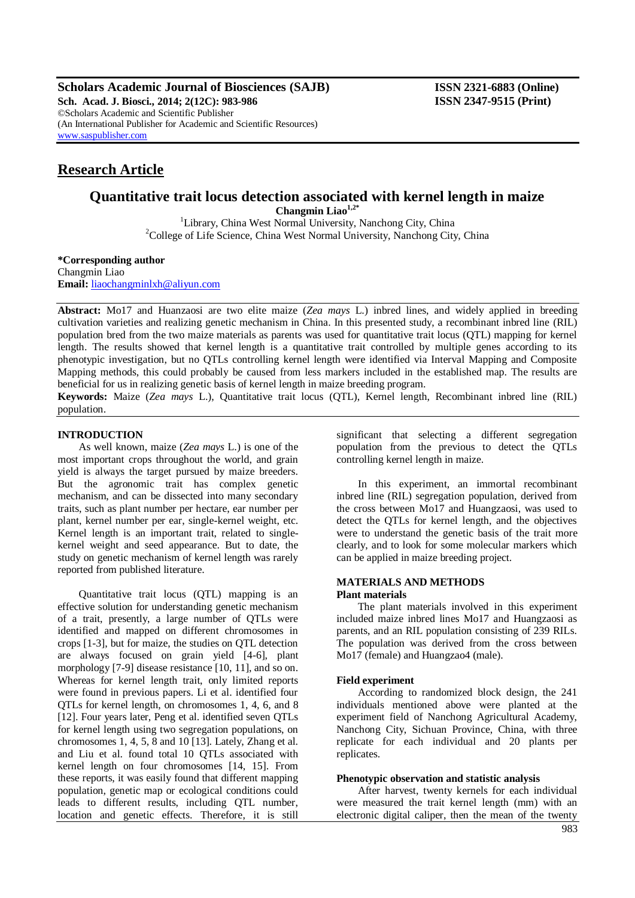**Scholars Academic Journal of Biosciences (SAJB) ISSN 2321-6883 (Online)**

**Sch. Acad. J. Biosci., 2014; 2(12C): 983-986 ISSN 2347-9515 (Print)** ©Scholars Academic and Scientific Publisher (An International Publisher for Academic and Scientific Resources) [www.saspublisher.com](http://www.saspublisher.com/)

# **Research Article**

## **Quantitative trait locus detection associated with kernel length in maize Changmin Liao1,2\***

<sup>1</sup>Library, China West Normal University, Nanchong City, China  $2^2$ College of Life Science, China West Normal University, Nanchong City, China

**\*Corresponding author** Changmin Liao **Email:** [liaochangminlxh@aliyun.com](mailto:liaochangminlxh@aliyun.com)

**Abstract:** Mo17 and Huanzaosi are two elite maize (*Zea mays* L.) inbred lines, and widely applied in breeding cultivation varieties and realizing genetic mechanism in China. In this presented study, a recombinant inbred line (RIL) population bred from the two maize materials as parents was used for quantitative trait locus (QTL) mapping for kernel length. The results showed that kernel length is a quantitative trait controlled by multiple genes according to its phenotypic investigation, but no QTLs controlling kernel length were identified via Interval Mapping and Composite Mapping methods, this could probably be caused from less markers included in the established map. The results are beneficial for us in realizing genetic basis of kernel length in maize breeding program.

**Keywords:** Maize (*Zea mays* L.), Quantitative trait locus (QTL), Kernel length, Recombinant inbred line (RIL) population.

# **INTRODUCTION**

As well known, maize (*Zea mays* L.) is one of the most important crops throughout the world, and grain yield is always the target pursued by maize breeders. But the agronomic trait has complex genetic mechanism, and can be dissected into many secondary traits, such as plant number per hectare, ear number per plant, kernel number per ear, single-kernel weight, etc. Kernel length is an important trait, related to singlekernel weight and seed appearance. But to date, the study on genetic mechanism of kernel length was rarely reported from published literature.

Quantitative trait locus (QTL) mapping is an effective solution for understanding genetic mechanism of a trait, presently, a large number of QTLs were identified and mapped on different chromosomes in crops [1-3], but for maize, the studies on QTL detection are always focused on grain yield [4-6], plant morphology [7-9] disease resistance [10, 11], and so on. Whereas for kernel length trait, only limited reports were found in previous papers. Li et al. identified four QTLs for kernel length, on chromosomes 1, 4, 6, and 8 [12]. Four years later, Peng et al. identified seven QTLs for kernel length using two segregation populations, on chromosomes 1, 4, 5, 8 and 10 [13]. Lately, Zhang et al. and Liu et al. found total 10 QTLs associated with kernel length on four chromosomes [14, 15]. From these reports, it was easily found that different mapping population, genetic map or ecological conditions could leads to different results, including QTL number, location and genetic effects. Therefore, it is still

significant that selecting a different segregation population from the previous to detect the QTLs controlling kernel length in maize.

In this experiment, an immortal recombinant inbred line (RIL) segregation population, derived from the cross between Mo17 and Huangzaosi, was used to detect the QTLs for kernel length, and the objectives were to understand the genetic basis of the trait more clearly, and to look for some molecular markers which can be applied in maize breeding project.

#### **MATERIALS AND METHODS Plant materials**

The plant materials involved in this experiment included maize inbred lines Mo17 and Huangzaosi as parents, and an RIL population consisting of 239 RILs. The population was derived from the cross between Mo17 (female) and Huangzao4 (male).

### **Field experiment**

According to randomized block design, the 241 individuals mentioned above were planted at the experiment field of Nanchong Agricultural Academy, Nanchong City, Sichuan Province, China, with three replicate for each individual and 20 plants per replicates.

### **Phenotypic observation and statistic analysis**

After harvest, twenty kernels for each individual were measured the trait kernel length (mm) with an electronic digital caliper, then the mean of the twenty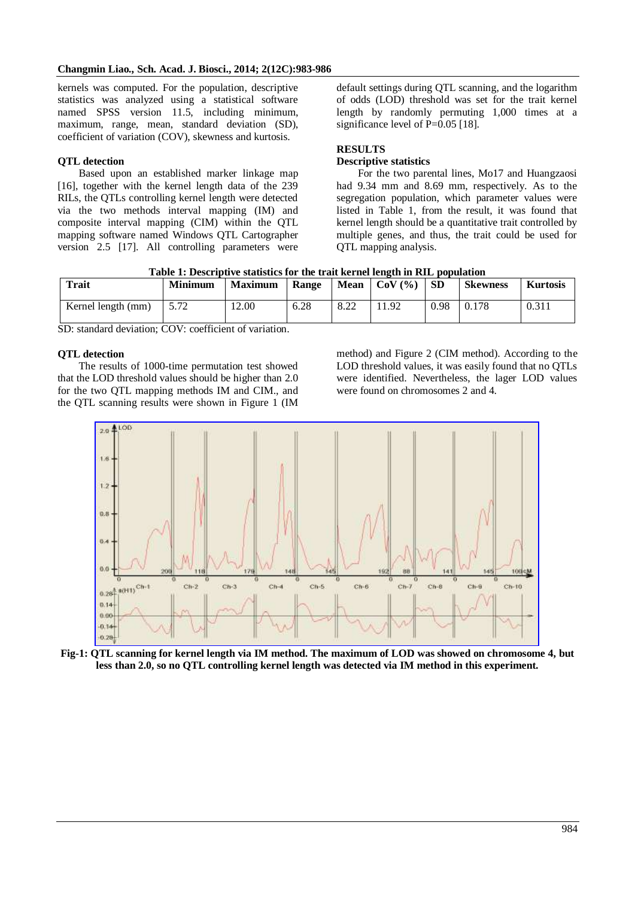kernels was computed. For the population, descriptive statistics was analyzed using a statistical software named SPSS version 11.5, including minimum, maximum, range, mean, standard deviation (SD), coefficient of variation (COV), skewness and kurtosis.

## **QTL detection**

Based upon an established marker linkage map [16], together with the kernel length data of the 239 RILs, the QTLs controlling kernel length were detected via the two methods interval mapping (IM) and composite interval mapping (CIM) within the QTL mapping software named Windows QTL Cartographer version 2.5 [17]. All controlling parameters were

default settings during QTL scanning, and the logarithm of odds (LOD) threshold was set for the trait kernel length by randomly permuting 1,000 times at a significance level of P=0.05 [18].

# **RESULTS**

### **Descriptive statistics**

For the two parental lines, Mo17 and Huangzaosi had 9.34 mm and 8.69 mm, respectively. As to the segregation population, which parameter values were listed in Table 1, from the result, it was found that kernel length should be a quantitative trait controlled by multiple genes, and thus, the trait could be used for QTL mapping analysis.

| Table 1. Descriptive statistics for the trait kernel length in Kill population |                |                |       |             |           |      |                 |                 |
|--------------------------------------------------------------------------------|----------------|----------------|-------|-------------|-----------|------|-----------------|-----------------|
| <b>Trait</b>                                                                   | <b>Minimum</b> | <b>Maximum</b> | Range | <b>Mean</b> | $COV$ (%) | -SD  | <b>Skewness</b> | <b>Kurtosis</b> |
| Kernel length (mm)                                                             |                | 12.00          | 6.28  | 8.22        | 1.92      | 0.98 | 0.178           | 0.311           |

**Table 1: Descriptive statistics for the trait kernel length in RIL population**

SD: standard deviation; COV: coefficient of variation.

### **QTL detection**

The results of 1000-time permutation test showed that the LOD threshold values should be higher than 2.0 for the two QTL mapping methods IM and CIM., and the QTL scanning results were shown in Figure 1 (IM

method) and Figure 2 (CIM method). According to the LOD threshold values, it was easily found that no QTLs were identified. Nevertheless, the lager LOD values were found on chromosomes 2 and 4.



**Fig-1: QTL scanning for kernel length via IM method. The maximum of LOD was showed on chromosome 4, but less than 2.0, so no QTL controlling kernel length was detected via IM method in this experiment.**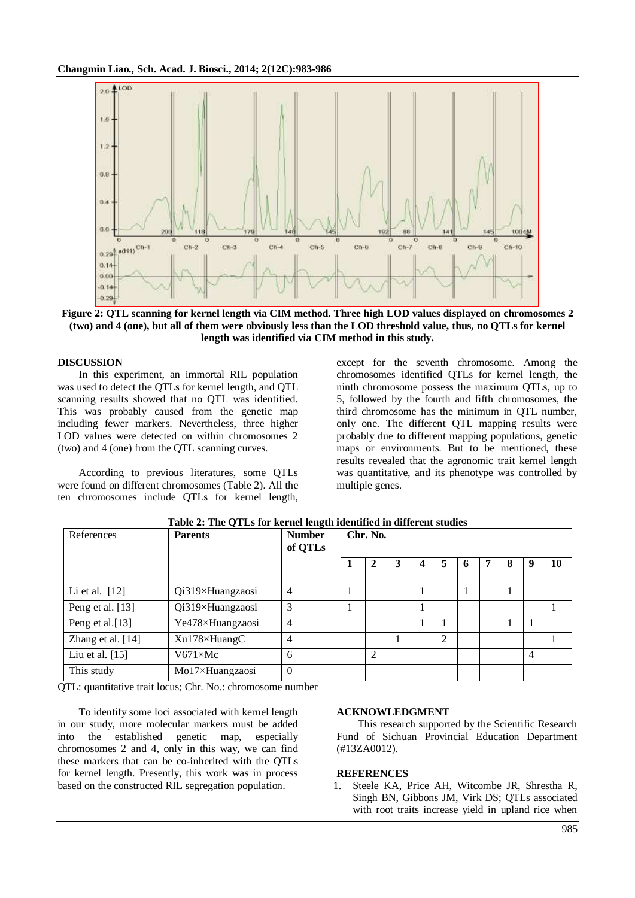

**Figure 2: QTL scanning for kernel length via CIM method. Three high LOD values displayed on chromosomes 2 (two) and 4 (one), but all of them were obviously less than the LOD threshold value, thus, no QTLs for kernel length was identified via CIM method in this study.**

#### **DISCUSSION**

In this experiment, an immortal RIL population was used to detect the QTLs for kernel length, and QTL scanning results showed that no QTL was identified. This was probably caused from the genetic map including fewer markers. Nevertheless, three higher LOD values were detected on within chromosomes 2 (two) and 4 (one) from the QTL scanning curves.

According to previous literatures, some QTLs were found on different chromosomes (Table 2). All the ten chromosomes include QTLs for kernel length,

except for the seventh chromosome. Among the chromosomes identified QTLs for kernel length, the ninth chromosome possess the maximum QTLs, up to 5, followed by the fourth and fifth chromosomes, the third chromosome has the minimum in QTL number, only one. The different QTL mapping results were probably due to different mapping populations, genetic maps or environments. But to be mentioned, these results revealed that the agronomic trait kernel length was quantitative, and its phenotype was controlled by multiple genes.

| References        | <b>Parents</b>   | <b>Number</b><br>of QTLs | Chr. No. |   |   |  |                |   |   |   |                |    |
|-------------------|------------------|--------------------------|----------|---|---|--|----------------|---|---|---|----------------|----|
|                   |                  |                          | п        | 2 | 3 |  | 5              | 6 | 7 | 8 |                | 10 |
| Li et al. $[12]$  | Qi319×Huangzaosi | $\overline{4}$           |          |   |   |  |                |   |   |   |                |    |
| Peng et al. [13]  | Qi319×Huangzaosi | 3                        |          |   |   |  |                |   |   |   |                |    |
| Peng et al.[13]   | Ye478×Huangzaosi | $\overline{4}$           |          |   |   |  |                |   |   |   |                |    |
| Zhang et al. [14] | Xu178×HuangC     | $\overline{4}$           |          |   |   |  | $\overline{2}$ |   |   |   |                |    |
| Liu et al. [15]   | $V671\times Mc$  | 6                        |          | 2 |   |  |                |   |   |   | $\overline{4}$ |    |
| This study        | Mo17×Huangzaosi  | $\Omega$                 |          |   |   |  |                |   |   |   |                |    |

**Table 2: The QTLs for kernel length identified in different studies**

QTL: quantitative trait locus; Chr. No.: chromosome number

To identify some loci associated with kernel length in our study, more molecular markers must be added into the established genetic map, especially chromosomes 2 and 4, only in this way, we can find these markers that can be co-inherited with the QTLs for kernel length. Presently, this work was in process based on the constructed RIL segregation population.

#### **ACKNOWLEDGMENT**

This research supported by the Scientific Research Fund of Sichuan Provincial Education Department (#13ZA0012).

#### **REFERENCES**

1. Steele KA, Price AH, Witcombe JR, Shrestha R, Singh BN, Gibbons JM, Virk DS; QTLs associated with root traits increase yield in upland rice when